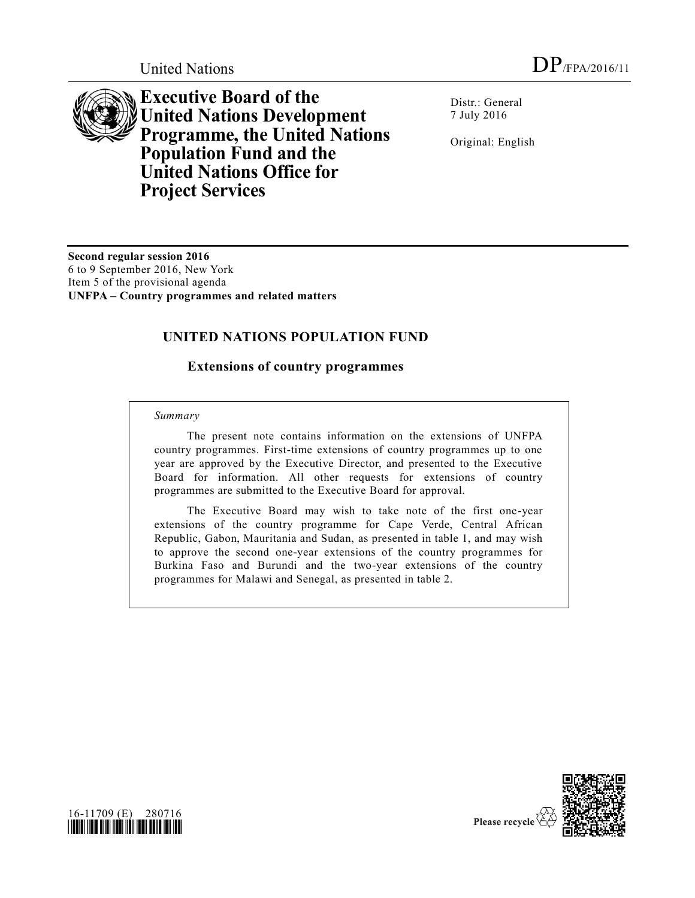

**Executive Board of the United Nations Development Programme, the United Nations Population Fund and the United Nations Office for Project Services**

Distr.: General 7 July 2016

Original: English

**Second regular session 2016** 6 to 9 September 2016, New York Item 5 of the provisional agenda **UNFPA – Country programmes and related matters**

## **UNITED NATIONS POPULATION FUND**

## **Extensions of country programmes**

## *Summary*

The present note contains information on the extensions of UNFPA country programmes. First-time extensions of country programmes up to one year are approved by the Executive Director, and presented to the Executive Board for information. All other requests for extensions of country programmes are submitted to the Executive Board for approval.

The Executive Board may wish to take note of the first one-year extensions of the country programme for Cape Verde, Central African Republic, Gabon, Mauritania and Sudan, as presented in table 1, and may wish to approve the second one-year extensions of the country programmes for Burkina Faso and Burundi and the two-year extensions of the country programmes for Malawi and Senegal, as presented in table 2.



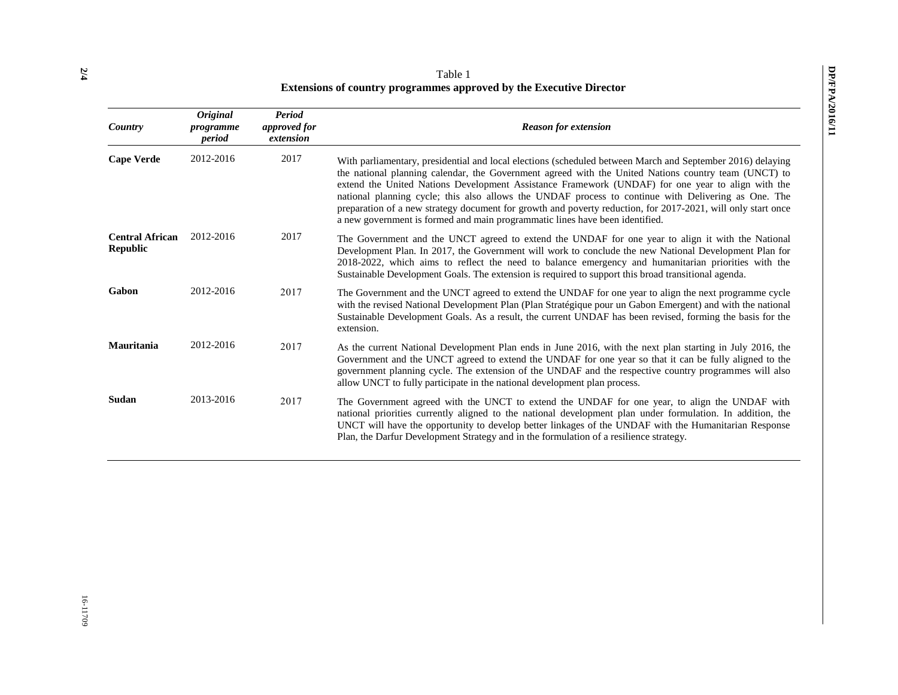| Country                                   | <b>Original</b><br>programme<br>period | Period<br><i>approved</i> for<br>extension | <b>Reason for extension</b>                                                                                                                                                                                                                                                                                                                                                                                                                                                                                                                                                                                                    |
|-------------------------------------------|----------------------------------------|--------------------------------------------|--------------------------------------------------------------------------------------------------------------------------------------------------------------------------------------------------------------------------------------------------------------------------------------------------------------------------------------------------------------------------------------------------------------------------------------------------------------------------------------------------------------------------------------------------------------------------------------------------------------------------------|
| <b>Cape Verde</b>                         | 2012-2016                              | 2017                                       | With parliamentary, presidential and local elections (scheduled between March and September 2016) delaying<br>the national planning calendar, the Government agreed with the United Nations country team (UNCT) to<br>extend the United Nations Development Assistance Framework (UNDAF) for one year to align with the<br>national planning cycle; this also allows the UNDAF process to continue with Delivering as One. The<br>preparation of a new strategy document for growth and poverty reduction, for 2017-2021, will only start once<br>a new government is formed and main programmatic lines have been identified. |
| <b>Central African</b><br><b>Republic</b> | 2012-2016                              | 2017                                       | The Government and the UNCT agreed to extend the UNDAF for one year to align it with the National<br>Development Plan. In 2017, the Government will work to conclude the new National Development Plan for<br>2018-2022, which aims to reflect the need to balance emergency and humanitarian priorities with the<br>Sustainable Development Goals. The extension is required to support this broad transitional agenda.                                                                                                                                                                                                       |
| Gabon                                     | 2012-2016                              | 2017                                       | The Government and the UNCT agreed to extend the UNDAF for one year to align the next programme cycle<br>with the revised National Development Plan (Plan Stratégique pour un Gabon Emergent) and with the national<br>Sustainable Development Goals. As a result, the current UNDAF has been revised, forming the basis for the<br>extension.                                                                                                                                                                                                                                                                                 |
| <b>Mauritania</b>                         | 2012-2016                              | 2017                                       | As the current National Development Plan ends in June 2016, with the next plan starting in July 2016, the<br>Government and the UNCT agreed to extend the UNDAF for one year so that it can be fully aligned to the<br>government planning cycle. The extension of the UNDAF and the respective country programmes will also<br>allow UNCT to fully participate in the national development plan process.                                                                                                                                                                                                                      |
| Sudan                                     | 2013-2016                              | 2017                                       | The Government agreed with the UNCT to extend the UNDAF for one year, to align the UNDAF with<br>national priorities currently aligned to the national development plan under formulation. In addition, the<br>UNCT will have the opportunity to develop better linkages of the UNDAF with the Humanitarian Response<br>Plan, the Darfur Development Strategy and in the formulation of a resilience strategy.                                                                                                                                                                                                                 |

Table 1 **Extensions of country programmes approved by the Executive Director**

**2 /4**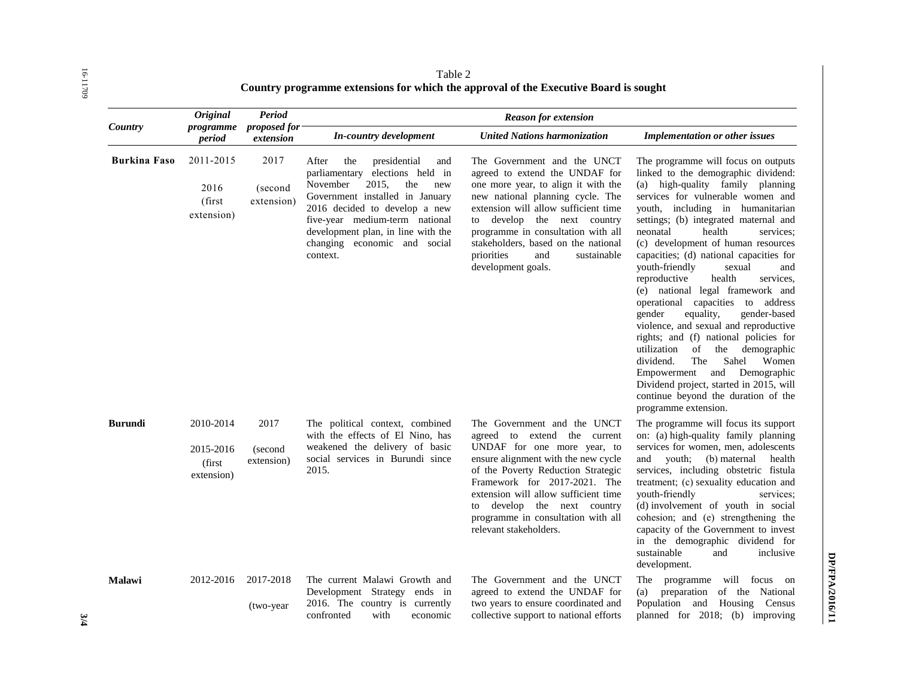| Country             | <b>Original</b><br>programme<br>period         | <b>Period</b><br>proposed for<br>extension | <b>Reason for extension</b>                                                                                                                                                                                                                                                                          |                                                                                                                                                                                                                                                                                                                                                           |                                                                                                                                                                                                                                                                                                                                                                                                                                                                                                                                                                                                                                                                                                                                                                                                                                                                     |  |
|---------------------|------------------------------------------------|--------------------------------------------|------------------------------------------------------------------------------------------------------------------------------------------------------------------------------------------------------------------------------------------------------------------------------------------------------|-----------------------------------------------------------------------------------------------------------------------------------------------------------------------------------------------------------------------------------------------------------------------------------------------------------------------------------------------------------|---------------------------------------------------------------------------------------------------------------------------------------------------------------------------------------------------------------------------------------------------------------------------------------------------------------------------------------------------------------------------------------------------------------------------------------------------------------------------------------------------------------------------------------------------------------------------------------------------------------------------------------------------------------------------------------------------------------------------------------------------------------------------------------------------------------------------------------------------------------------|--|
|                     |                                                |                                            | In-country development                                                                                                                                                                                                                                                                               | <b>United Nations harmonization</b>                                                                                                                                                                                                                                                                                                                       | <b>Implementation or other issues</b>                                                                                                                                                                                                                                                                                                                                                                                                                                                                                                                                                                                                                                                                                                                                                                                                                               |  |
| <b>Burkina Faso</b> | 2011-2015<br>2016<br>(first<br>extension)      | 2017<br>(second<br>extension)              | After<br>the<br>presidential<br>and<br>parliamentary<br>elections held in<br>the<br>November<br>2015,<br>new<br>Government installed in January<br>2016 decided to develop a new<br>five-year medium-term national<br>development plan, in line with the<br>changing economic and social<br>context. | The Government and the UNCT<br>agreed to extend the UNDAF for<br>one more year, to align it with the<br>new national planning cycle. The<br>extension will allow sufficient time<br>develop the next country<br>to<br>programme in consultation with all<br>stakeholders, based on the national<br>priorities<br>and<br>sustainable<br>development goals. | The programme will focus on outputs<br>linked to the demographic dividend:<br>(a) high-quality family planning<br>services for vulnerable women and<br>youth, including in humanitarian<br>settings; (b) integrated maternal and<br>health<br>neonatal<br>services:<br>(c) development of human resources<br>capacities; (d) national capacities for<br>youth-friendly<br>sexual<br>and<br>reproductive<br>health<br>services.<br>(e) national legal framework and<br>operational capacities to<br>address<br>gender<br>equality,<br>gender-based<br>violence, and sexual and reproductive<br>rights; and (f) national policies for<br>utilization<br>of<br>the<br>demographic<br>dividend.<br>The<br>Sahel<br>Women<br>Empowerment<br>and<br>Demographic<br>Dividend project, started in 2015, will<br>continue beyond the duration of the<br>programme extension. |  |
| <b>Burundi</b>      | 2010-2014<br>2015-2016<br>(first<br>extension) | 2017<br>(second<br>extension)              | The political context, combined<br>with the effects of El Nino, has<br>weakened the delivery of basic<br>social services in Burundi since<br>2015.                                                                                                                                                   | The Government and the UNCT<br>agreed to extend the current<br>UNDAF for one more year, to<br>ensure alignment with the new cycle<br>of the Poverty Reduction Strategic<br>Framework for 2017-2021. The<br>extension will allow sufficient time<br>develop the next country<br>to<br>programme in consultation with all<br>relevant stakeholders.         | The programme will focus its support<br>on: (a) high-quality family planning<br>services for women, men, adolescents<br>youth;<br>(b) maternal<br>health<br>and<br>services, including obstetric fistula<br>treatment; (c) sexuality education and<br>vouth-friendly<br>services:<br>(d) involvement of youth in social<br>cohesion; and (e) strengthening the<br>capacity of the Government to invest<br>in the demographic dividend for<br>sustainable<br>and<br>inclusive<br>development.                                                                                                                                                                                                                                                                                                                                                                        |  |
| <b>Malawi</b>       | 2012-2016                                      | 2017-2018<br>(two-year)                    | The current Malawi Growth and<br>Development Strategy ends in<br>2016. The country is currently<br>confronted<br>with<br>economic                                                                                                                                                                    | The Government and the UNCT<br>agreed to extend the UNDAF for<br>two years to ensure coordinated and<br>collective support to national efforts                                                                                                                                                                                                            | programme<br>will focus on<br>The<br>(a) preparation of the National<br>Population and Housing Census<br>planned for 2018; (b) improving                                                                                                                                                                                                                                                                                                                                                                                                                                                                                                                                                                                                                                                                                                                            |  |

Table 2 **Country programme extensions for which the approval of the Executive Board is sought**

**3/4**